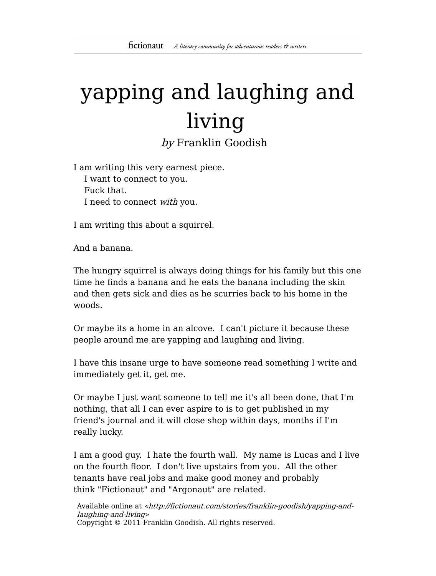## yapping and laughing and living

by Franklin Goodish

I am writing this very earnest piece. I want to connect to you. Fuck that. I need to connect with you.

I am writing this about a squirrel.

And a banana.

The hungry squirrel is always doing things for his family but this one time he finds a banana and he eats the banana including the skin and then gets sick and dies as he scurries back to his home in the woods.

Or maybe its a home in an alcove. I can't picture it because these people around me are yapping and laughing and living.

I have this insane urge to have someone read something I write and immediately get it, get me.

Or maybe I just want someone to tell me it's all been done, that I'm nothing, that all I can ever aspire to is to get published in my friend's journal and it will close shop within days, months if I'm really lucky.

I am a good guy. I hate the fourth wall. My name is Lucas and I live on the fourth floor. I don't live upstairs from you. All the other tenants have real jobs and make good money and probably think "Fictionaut" and "Argonaut" are related.